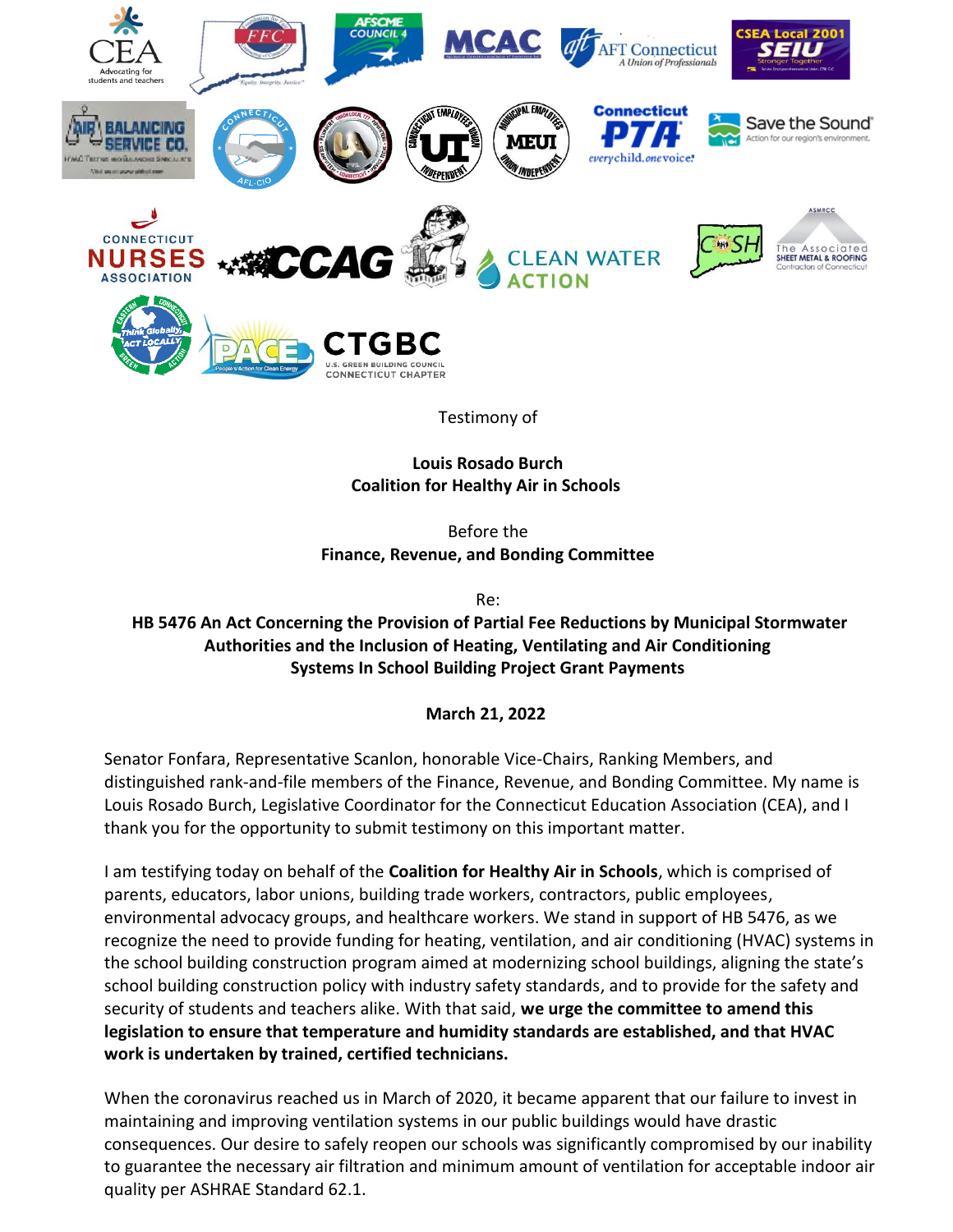

Testimony of

**Louis Rosado Burch Coalition for Healthy Air in Schools**

Before the **Finance, Revenue, and Bonding Committee**

Re:

# **HB 5476 An Act Concerning the Provision of Partial Fee Reductions by Municipal Stormwater Authorities and the Inclusion of Heating, Ventilating and Air Conditioning Systems In School Building Project Grant Payments**

**March 21, 2022**

Senator Fonfara, Representative Scanlon, honorable Vice-Chairs, Ranking Members, and distinguished rank-and-file members of the Finance, Revenue, and Bonding Committee. My name is Louis Rosado Burch, Legislative Coordinator for the Connecticut Education Association (CEA), and I thank you for the opportunity to submit testimony on this important matter.

I am testifying today on behalf of the **Coalition for Healthy Air in Schools**, which is comprised of parents, educators, labor unions, building trade workers, contractors, public employees, environmental advocacy groups, and healthcare workers. We stand in support of HB 5476, as we recognize the need to provide funding for heating, ventilation, and air conditioning (HVAC) systems in the school building construction program aimed at modernizing school buildings, aligning the state's school building construction policy with industry safety standards, and to provide for the safety and security of students and teachers alike. With that said, **we urge the committee to amend this legislation to ensure that temperature and humidity standards are established, and that HVAC work is undertaken by trained, certified technicians.**

When the coronavirus reached us in March of 2020, it became apparent that our failure to invest in maintaining and improving ventilation systems in our public buildings would have drastic consequences. Our desire to safely reopen our schools was significantly compromised by our inability to guarantee the necessary air filtration and minimum amount of ventilation for acceptable indoor air quality per ASHRAE Standard 62.1.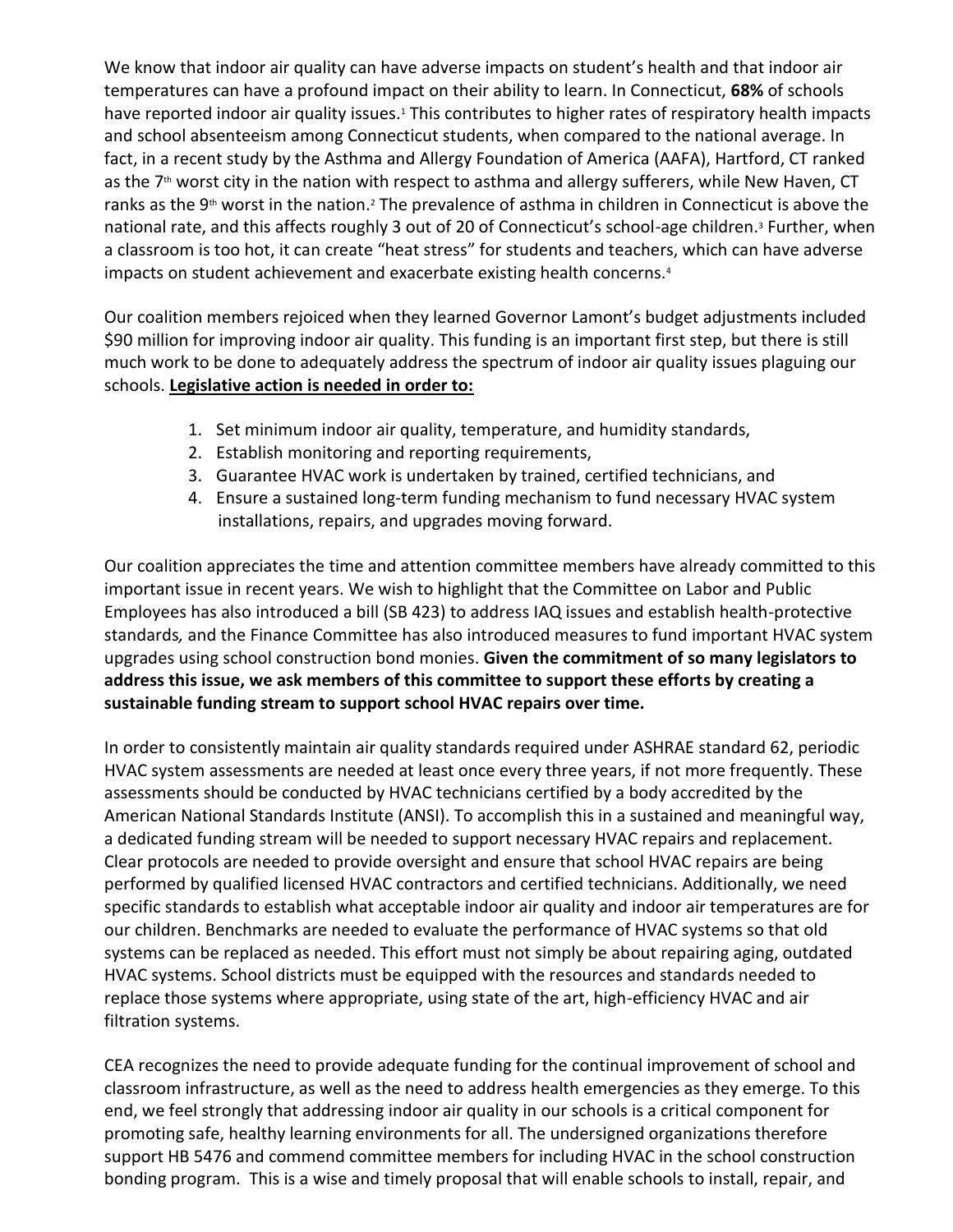We know that indoor air quality can have adverse impacts on student's health and that indoor air temperatures can have a profound impact on their ability to learn. In Connecticut, **68%** of schools have reported indoor air quality issues.<sup>1</sup> This contributes to higher rates of respiratory health impacts and school absenteeism among Connecticut students, when compared to the national average. In fact, in a recent study by the Asthma and Allergy Foundation of America (AAFA), Hartford, CT ranked as the  $7<sup>th</sup>$  worst city in the nation with respect to asthma and allergy sufferers, while New Haven, CT ranks as the 9<sup>th</sup> worst in the nation.<sup>2</sup> The prevalence of asthma in children in Connecticut is above the national rate, and this affects roughly 3 out of 20 of Connecticut's school-age children.<sup>3</sup> Further, when a classroom is too hot, it can create "heat stress" for students and teachers, which can have adverse impacts on student achievement and exacerbate existing health concerns.<sup>4</sup>

Our coalition members rejoiced when they learned Governor Lamont's budget adjustments included \$90 million for improving indoor air quality. This funding is an important first step, but there is still much work to be done to adequately address the spectrum of indoor air quality issues plaguing our schools. **Legislative action is needed in order to:**

- 1. Set minimum indoor air quality, temperature, and humidity standards,
- 2. Establish monitoring and reporting requirements,
- 3. Guarantee HVAC work is undertaken by trained, certified technicians, and
- 4. Ensure a sustained long-term funding mechanism to fund necessary HVAC system installations, repairs, and upgrades moving forward.

Our coalition appreciates the time and attention committee members have already committed to this important issue in recent years. We wish to highlight that the Committee on Labor and Public Employees has also introduced a bill (SB 423) to address IAQ issues and establish health-protective standards*,* and the Finance Committee has also introduced measures to fund important HVAC system upgrades using school construction bond monies. **Given the commitment of so many legislators to address this issue, we ask members of this committee to support these efforts by creating a sustainable funding stream to support school HVAC repairs over time.**

In order to consistently maintain air quality standards required under ASHRAE standard 62, periodic HVAC system assessments are needed at least once every three years, if not more frequently. These assessments should be conducted by HVAC technicians certified by a body accredited by the American National Standards Institute (ANSI). To accomplish this in a sustained and meaningful way, a dedicated funding stream will be needed to support necessary HVAC repairs and replacement. Clear protocols are needed to provide oversight and ensure that school HVAC repairs are being performed by qualified licensed HVAC contractors and certified technicians. Additionally, we need specific standards to establish what acceptable indoor air quality and indoor air temperatures are for our children. Benchmarks are needed to evaluate the performance of HVAC systems so that old systems can be replaced as needed. This effort must not simply be about repairing aging, outdated HVAC systems. School districts must be equipped with the resources and standards needed to replace those systems where appropriate, using state of the art, high-efficiency HVAC and air filtration systems.

CEA recognizes the need to provide adequate funding for the continual improvement of school and classroom infrastructure, as well as the need to address health emergencies as they emerge. To this end, we feel strongly that addressing indoor air quality in our schools is a critical component for promoting safe, healthy learning environments for all. The undersigned organizations therefore support HB 5476 and commend committee members for including HVAC in the school construction bonding program. This is a wise and timely proposal that will enable schools to install, repair, and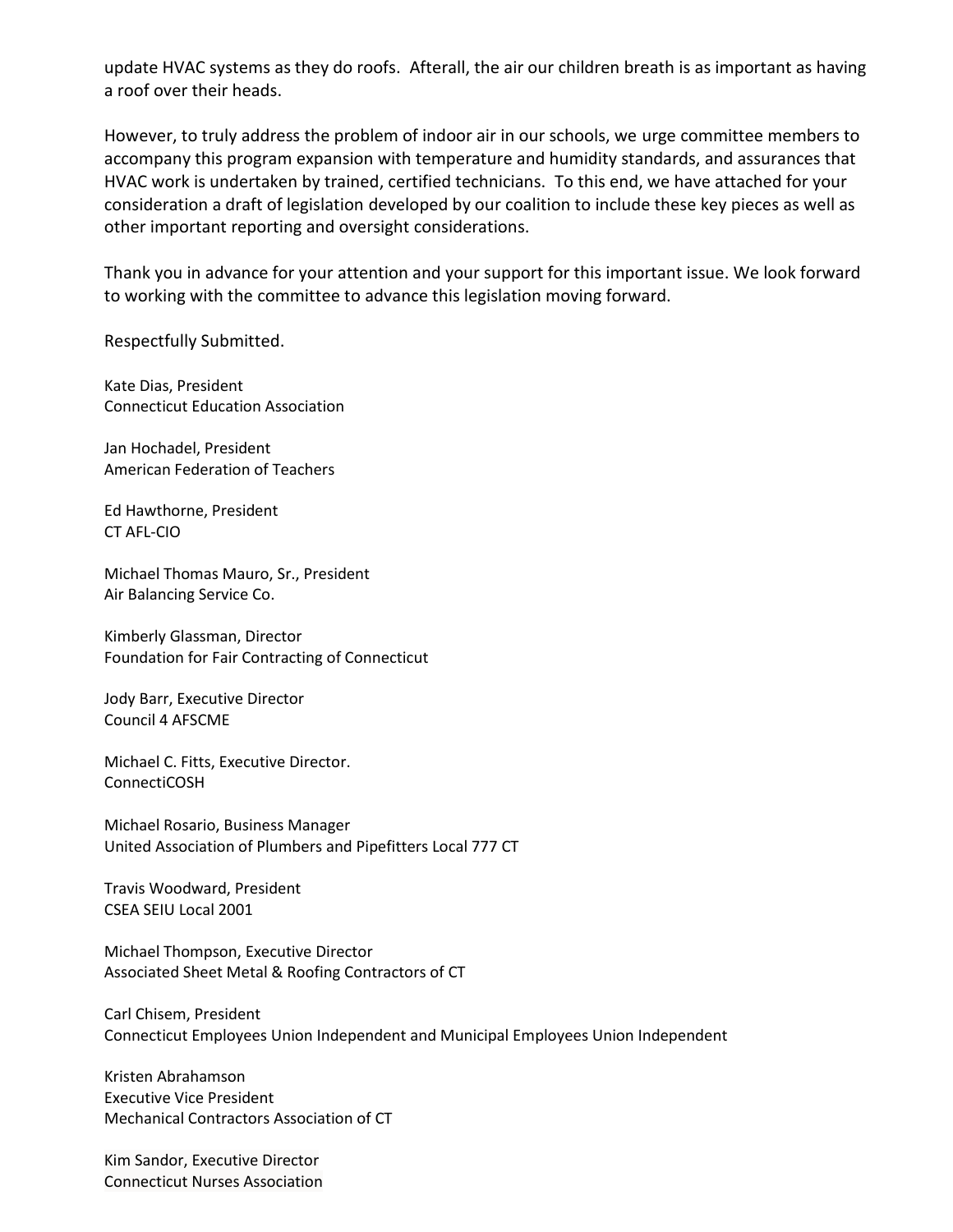update HVAC systems as they do roofs. Afterall, the air our children breath is as important as having a roof over their heads.

However, to truly address the problem of indoor air in our schools, we urge committee members to accompany this program expansion with temperature and humidity standards, and assurances that HVAC work is undertaken by trained, certified technicians. To this end, we have attached for your consideration a draft of legislation developed by our coalition to include these key pieces as well as other important reporting and oversight considerations.

Thank you in advance for your attention and your support for this important issue. We look forward to working with the committee to advance this legislation moving forward.

Respectfully Submitted.

Kate Dias, President Connecticut Education Association

Jan Hochadel, President American Federation of Teachers

Ed Hawthorne, President CT AFL-CIO

Michael Thomas Mauro, Sr., President Air Balancing Service Co.

Kimberly Glassman, Director Foundation for Fair Contracting of Connecticut

Jody Barr, Executive Director Council 4 AFSCME

Michael C. Fitts, Executive Director. ConnectiCOSH

Michael Rosario, Business Manager United Association of Plumbers and Pipefitters Local 777 CT

Travis Woodward, President CSEA SEIU Local 2001

Michael Thompson, Executive Director Associated Sheet Metal & Roofing Contractors of CT

Carl Chisem, President Connecticut Employees Union Independent and Municipal Employees Union Independent

Kristen Abrahamson Executive Vice President Mechanical Contractors Association of CT

Kim Sandor, Executive Director Connecticut Nurses Association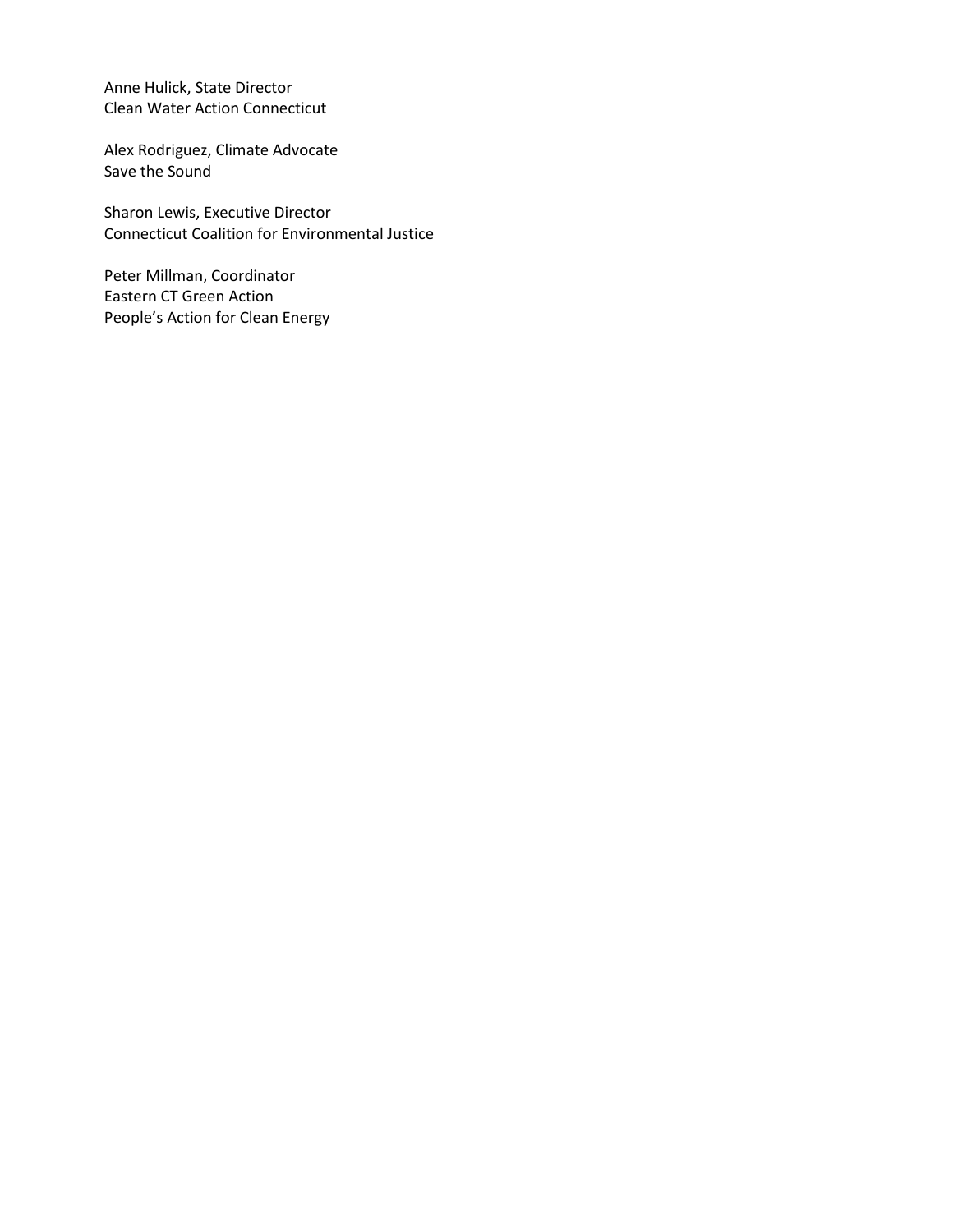Anne Hulick, State Director Clean Water Action Connecticut

Alex Rodriguez, Climate Advocate Save the Sound

Sharon Lewis, Executive Director Connecticut Coalition for Environmental Justice

Peter Millman, Coordinator Eastern CT Green Action People's Action for Clean Energy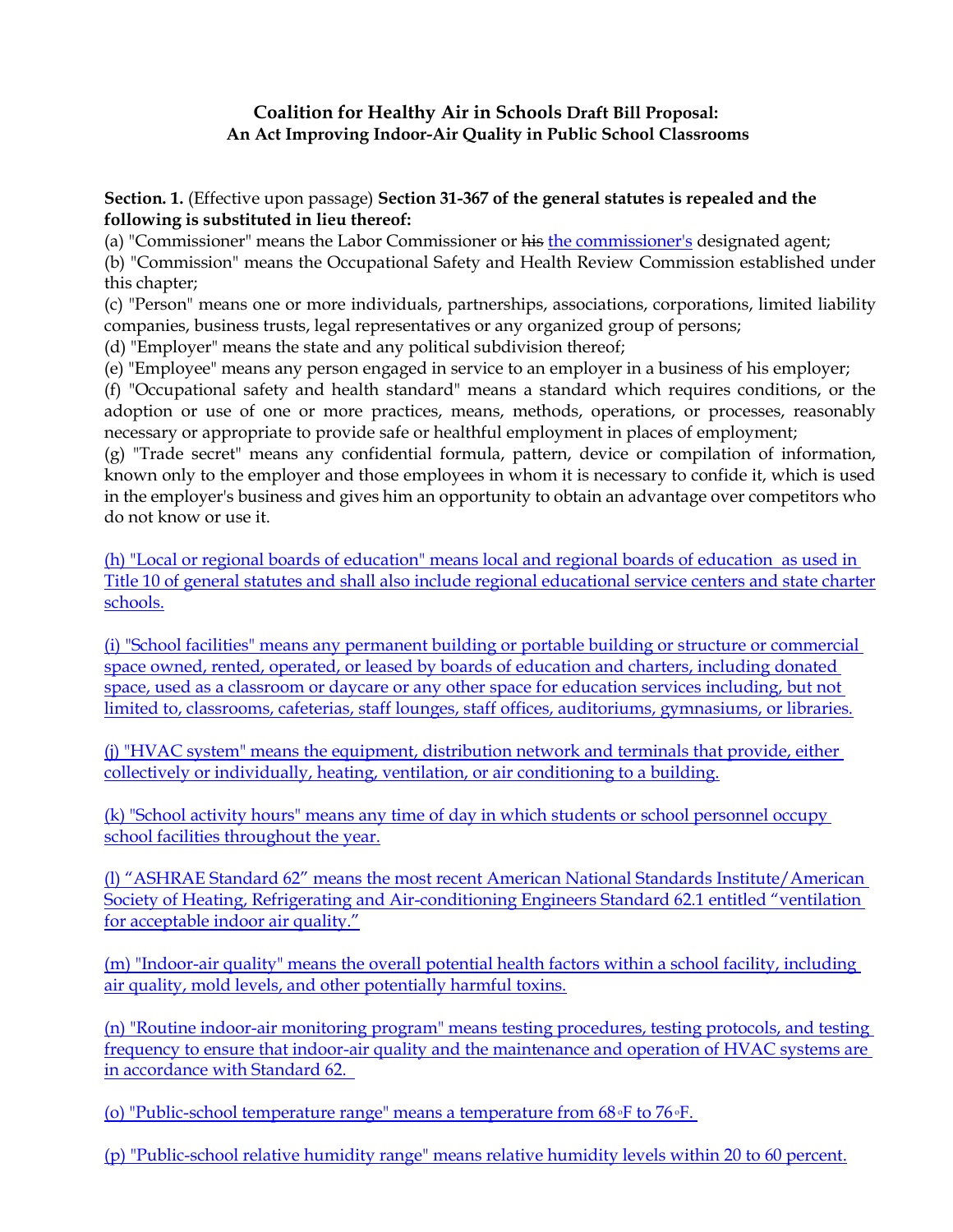## **Coalition for Healthy Air in Schools Draft Bill Proposal: An Act Improving Indoor-Air Quality in Public School Classrooms**

#### **Section. 1.** (Effective upon passage) **Section 31-367 of the general statutes is repealed and the following is substituted in lieu thereof:**

(a) "Commissioner" means the Labor Commissioner or his the commissioner's designated agent;

(b) "Commission" means the Occupational Safety and Health Review Commission established under this chapter;

(c) "Person" means one or more individuals, partnerships, associations, corporations, limited liability companies, business trusts, legal representatives or any organized group of persons;

(d) "Employer" means the state and any political subdivision thereof;

(e) "Employee" means any person engaged in service to an employer in a business of his employer;

(f) "Occupational safety and health standard" means a standard which requires conditions, or the adoption or use of one or more practices, means, methods, operations, or processes, reasonably necessary or appropriate to provide safe or healthful employment in places of employment;

(g) "Trade secret" means any confidential formula, pattern, device or compilation of information, known only to the employer and those employees in whom it is necessary to confide it, which is used in the employer's business and gives him an opportunity to obtain an advantage over competitors who do not know or use it.

(h) "Local or regional boards of education" means local and regional boards of education as used in Title 10 of general statutes and shall also include regional educational service centers and state charter schools.

(i) "School facilities" means any permanent building or portable building or structure or commercial space owned, rented, operated, or leased by boards of education and charters, including donated space, used as a classroom or daycare or any other space for education services including, but not limited to, classrooms, cafeterias, staff lounges, staff offices, auditoriums, gymnasiums, or libraries.

(j) "HVAC system" means the equipment, distribution network and terminals that provide, either collectively or individually, heating, ventilation, or air conditioning to a building.

(k) "School activity hours" means any time of day in which students or school personnel occupy school facilities throughout the year.

(l) "ASHRAE Standard 62" means the most recent American National Standards Institute/American Society of Heating, Refrigerating and Air-conditioning Engineers Standard 62.1 entitled "ventilation for acceptable indoor air quality."

(m) "Indoor-air quality" means the overall potential health factors within a school facility, including air quality, mold levels, and other potentially harmful toxins.

(n) "Routine indoor-air monitoring program" means testing procedures, testing protocols, and testing frequency to ensure that indoor-air quality and the maintenance and operation of HVAC systems are in accordance with Standard 62.

(o) "Public-school temperature range" means a temperature from  $68 \cdot F$  to  $76 \cdot F$ .

(p) "Public-school relative humidity range" means relative humidity levels within 20 to 60 percent.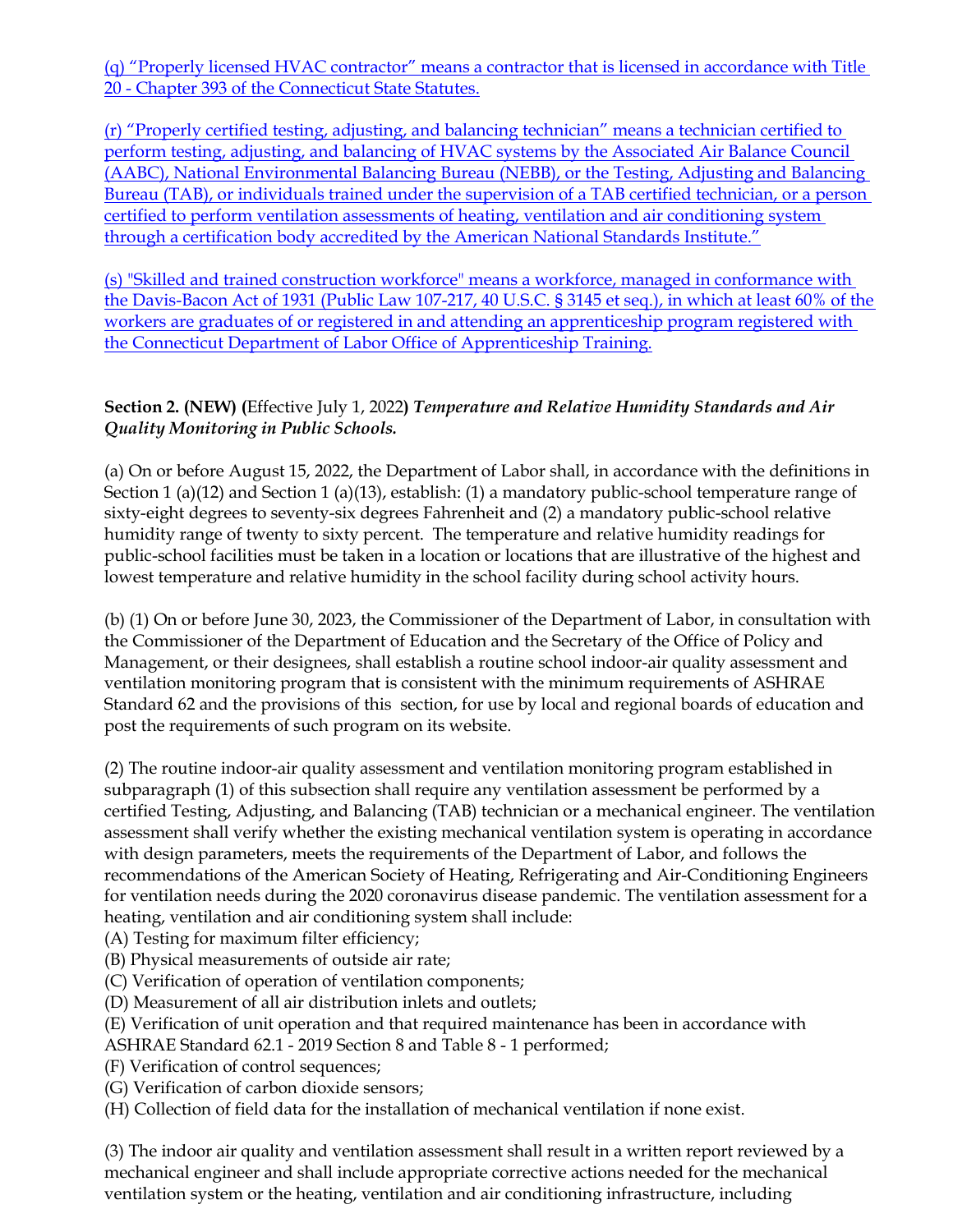(q) "Properly licensed HVAC contractor" means a contractor that is licensed in accordance with Title 20 - Chapter 393 of the Connecticut State Statutes.

(r) "Properly certified testing, adjusting, and balancing technician" means a technician certified to perform testing, adjusting, and balancing of HVAC systems by the Associated Air Balance Council (AABC), National Environmental Balancing Bureau (NEBB), or the Testing, Adjusting and Balancing Bureau (TAB), or individuals trained under the supervision of a TAB certified technician, or a person certified to perform ventilation assessments of heating, ventilation and air conditioning system through a certification body accredited by the American National Standards Institute."

(s) "Skilled and trained construction workforce" means a workforce, managed in conformance with the Davis-Bacon Act of 1931 (Public Law 107-217, 40 U.S.C. § 3145 et seq.), in which at least 60% of the workers are graduates of or registered in and attending an apprenticeship program registered with the Connecticut Department of Labor Office of Apprenticeship Training.

## **Section 2. (NEW) (**Effective July 1, 2022**)** *Temperature and Relative Humidity Standards and Air Quality Monitoring in Public Schools.*

(a) On or before August 15, 2022, the Department of Labor shall, in accordance with the definitions in Section 1 (a)(12) and Section 1 (a)(13), establish: (1) a mandatory public-school temperature range of sixty-eight degrees to seventy-six degrees Fahrenheit and (2) a mandatory public-school relative humidity range of twenty to sixty percent. The temperature and relative humidity readings for public-school facilities must be taken in a location or locations that are illustrative of the highest and lowest temperature and relative humidity in the school facility during school activity hours.

(b) (1) On or before June 30, 2023, the Commissioner of the Department of Labor, in consultation with the Commissioner of the Department of Education and the Secretary of the Office of Policy and Management, or their designees, shall establish a routine school indoor-air quality assessment and ventilation monitoring program that is consistent with the minimum requirements of ASHRAE Standard 62 and the provisions of this section, for use by local and regional boards of education and post the requirements of such program on its website.

(2) The routine indoor-air quality assessment and ventilation monitoring program established in subparagraph (1) of this subsection shall require any ventilation assessment be performed by a certified Testing, Adjusting, and Balancing (TAB) technician or a mechanical engineer. The ventilation assessment shall verify whether the existing mechanical ventilation system is operating in accordance with design parameters, meets the requirements of the Department of Labor, and follows the recommendations of the American Society of Heating, Refrigerating and Air-Conditioning Engineers for ventilation needs during the 2020 coronavirus disease pandemic. The ventilation assessment for a heating, ventilation and air conditioning system shall include:

(A) Testing for maximum filter efficiency;

- (B) Physical measurements of outside air rate;
- (C) Verification of operation of ventilation components;
- (D) Measurement of all air distribution inlets and outlets;
- (E) Verification of unit operation and that required maintenance has been in accordance with
- ASHRAE Standard 62.1 2019 Section 8 and Table 8 1 performed;
- (F) Verification of control sequences;
- (G) Verification of carbon dioxide sensors;
- (H) Collection of field data for the installation of mechanical ventilation if none exist.

(3) The indoor air quality and ventilation assessment shall result in a written report reviewed by a mechanical engineer and shall include appropriate corrective actions needed for the mechanical ventilation system or the heating, ventilation and air conditioning infrastructure, including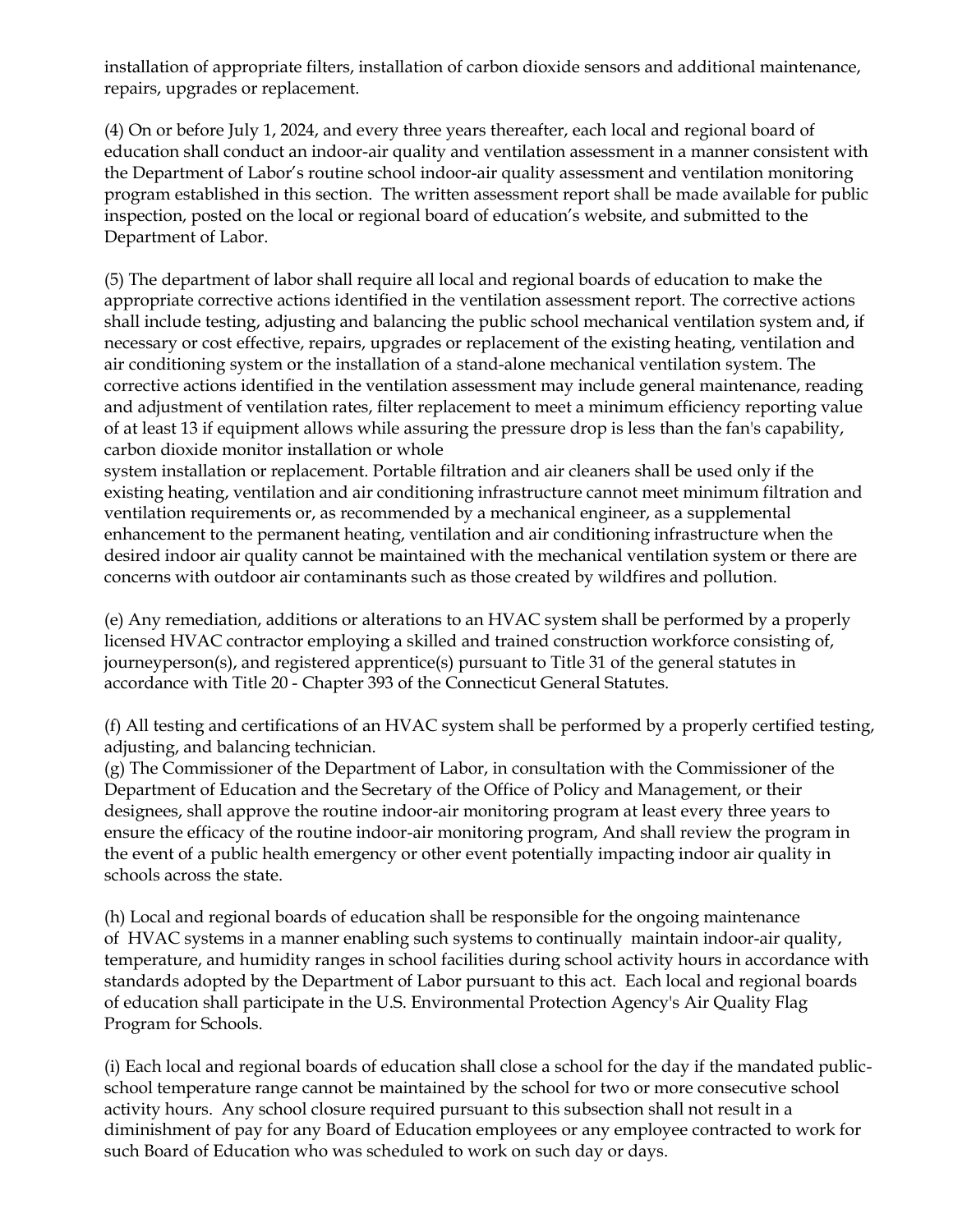installation of appropriate filters, installation of carbon dioxide sensors and additional maintenance, repairs, upgrades or replacement.

(4) On or before July 1, 2024, and every three years thereafter, each local and regional board of education shall conduct an indoor-air quality and ventilation assessment in a manner consistent with the Department of Labor's routine school indoor-air quality assessment and ventilation monitoring program established in this section. The written assessment report shall be made available for public inspection, posted on the local or regional board of education's website, and submitted to the Department of Labor.

(5) The department of labor shall require all local and regional boards of education to make the appropriate corrective actions identified in the ventilation assessment report. The corrective actions shall include testing, adjusting and balancing the public school mechanical ventilation system and, if necessary or cost effective, repairs, upgrades or replacement of the existing heating, ventilation and air conditioning system or the installation of a stand-alone mechanical ventilation system. The corrective actions identified in the ventilation assessment may include general maintenance, reading and adjustment of ventilation rates, filter replacement to meet a minimum efficiency reporting value of at least 13 if equipment allows while assuring the pressure drop is less than the fan's capability, carbon dioxide monitor installation or whole

system installation or replacement. Portable filtration and air cleaners shall be used only if the existing heating, ventilation and air conditioning infrastructure cannot meet minimum filtration and ventilation requirements or, as recommended by a mechanical engineer, as a supplemental enhancement to the permanent heating, ventilation and air conditioning infrastructure when the desired indoor air quality cannot be maintained with the mechanical ventilation system or there are concerns with outdoor air contaminants such as those created by wildfires and pollution.

(e) Any remediation, additions or alterations to an HVAC system shall be performed by a properly licensed HVAC contractor employing a skilled and trained construction workforce consisting of, journeyperson(s), and registered apprentice(s) pursuant to Title 31 of the general statutes in accordance with Title 20 - Chapter 393 of the Connecticut General Statutes.

(f) All testing and certifications of an HVAC system shall be performed by a properly certified testing, adjusting, and balancing technician.

(g) The Commissioner of the Department of Labor, in consultation with the Commissioner of the Department of Education and the Secretary of the Office of Policy and Management, or their designees, shall approve the routine indoor-air monitoring program at least every three years to ensure the efficacy of the routine indoor-air monitoring program, And shall review the program in the event of a public health emergency or other event potentially impacting indoor air quality in schools across the state.

(h) Local and regional boards of education shall be responsible for the ongoing maintenance of HVAC systems in a manner enabling such systems to continually maintain indoor-air quality, temperature, and humidity ranges in school facilities during school activity hours in accordance with standards adopted by the Department of Labor pursuant to this act. Each local and regional boards of education shall participate in the U.S. Environmental Protection Agency's Air Quality Flag Program for Schools.

(i) Each local and regional boards of education shall close a school for the day if the mandated publicschool temperature range cannot be maintained by the school for two or more consecutive school activity hours. Any school closure required pursuant to this subsection shall not result in a diminishment of pay for any Board of Education employees or any employee contracted to work for such Board of Education who was scheduled to work on such day or days.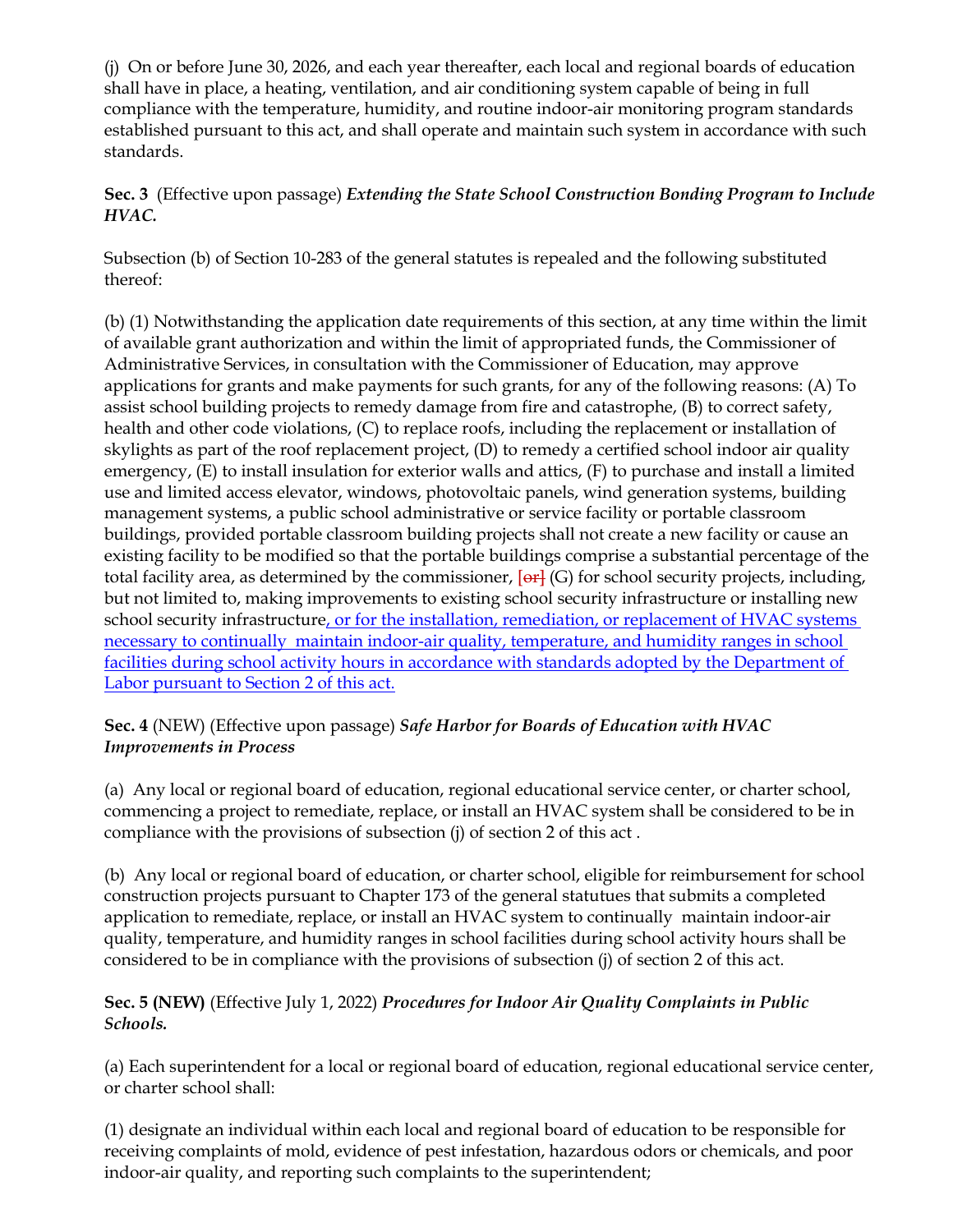(j) On or before June 30, 2026, and each year thereafter, each local and regional boards of education shall have in place, a heating, ventilation, and air conditioning system capable of being in full compliance with the temperature, humidity, and routine indoor-air monitoring program standards established pursuant to this act, and shall operate and maintain such system in accordance with such standards.

# **Sec. 3** (Effective upon passage) *Extending the State School Construction Bonding Program to Include HVAC.*

Subsection (b) of Section 10-283 of the general statutes is repealed and the following substituted thereof:

(b) (1) Notwithstanding the application date requirements of this section, at any time within the limit of available grant authorization and within the limit of appropriated funds, the Commissioner of Administrative Services, in consultation with the Commissioner of Education, may approve applications for grants and make payments for such grants, for any of the following reasons: (A) To assist school building projects to remedy damage from fire and catastrophe, (B) to correct safety, health and other code violations, (C) to replace roofs, including the replacement or installation of skylights as part of the roof replacement project, (D) to remedy a certified school indoor air quality emergency, (E) to install insulation for exterior walls and attics, (F) to purchase and install a limited use and limited access elevator, windows, photovoltaic panels, wind generation systems, building management systems, a public school administrative or service facility or portable classroom buildings, provided portable classroom building projects shall not create a new facility or cause an existing facility to be modified so that the portable buildings comprise a substantial percentage of the total facility area, as determined by the commissioner,  $[\text{er}](G)$  for school security projects, including, but not limited to, making improvements to existing school security infrastructure or installing new school security infrastructure, or for the installation, remediation, or replacement of HVAC systems necessary to continually maintain indoor-air quality, temperature, and humidity ranges in school facilities during school activity hours in accordance with standards adopted by the Department of Labor pursuant to Section 2 of this act.

## **Sec. 4** (NEW) (Effective upon passage) *Safe Harbor for Boards of Education with HVAC Improvements in Process*

(a) Any local or regional board of education, regional educational service center, or charter school, commencing a project to remediate, replace, or install an HVAC system shall be considered to be in compliance with the provisions of subsection (j) of section 2 of this act .

(b) Any local or regional board of education, or charter school, eligible for reimbursement for school construction projects pursuant to Chapter 173 of the general statutues that submits a completed application to remediate, replace, or install an HVAC system to continually maintain indoor-air quality, temperature, and humidity ranges in school facilities during school activity hours shall be considered to be in compliance with the provisions of subsection (j) of section 2 of this act.

# **Sec. 5 (NEW)** (Effective July 1, 2022) *Procedures for Indoor Air Quality Complaints in Public Schools.*

(a) Each superintendent for a local or regional board of education, regional educational service center, or charter school shall:

(1) designate an individual within each local and regional board of education to be responsible for receiving complaints of mold, evidence of pest infestation, hazardous odors or chemicals, and poor indoor-air quality, and reporting such complaints to the superintendent;